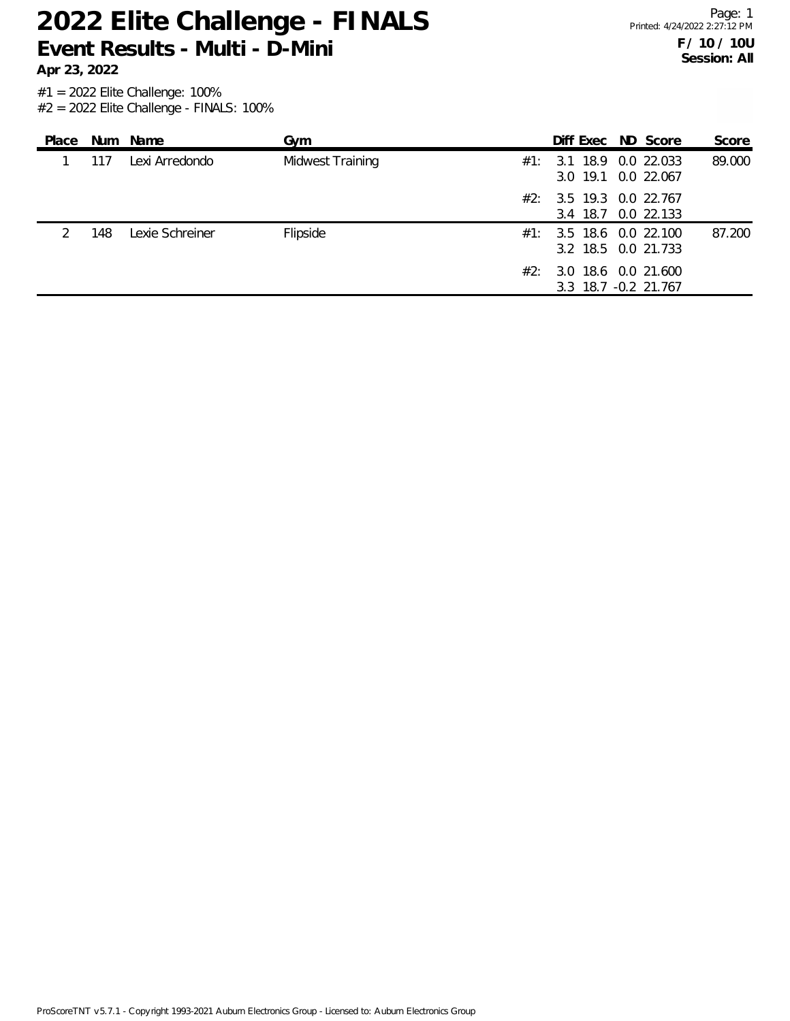**Apr 23, 2022**

Page: 1 Printed: 4/24/2022 2:27:12 PM **F / 10 / 10U Session: All**

| Place |     | Num Name        | Gym              |     | Diff Exec ND Score                                 |  | Score  |
|-------|-----|-----------------|------------------|-----|----------------------------------------------------|--|--------|
|       | 117 | Lexi Arredondo  | Midwest Training | #1: | 3.1 18.9 0.0 22.033<br>3.0 19.1 0.0 22.067         |  | 89.000 |
|       |     |                 |                  |     | $\#2$ : 3.5 19.3 0.0 22.767<br>3.4 18.7 0.0 22.133 |  |        |
|       | 148 | Lexie Schreiner | Flipside         |     | $\#1$ : 3.5 18.6 0.0 22.100<br>3.2 18.5 0.0 21.733 |  | 87.200 |
|       |     |                 |                  | #2: | 3.0 18.6 0.0 21.600<br>3.3 18.7 -0.2 21.767        |  |        |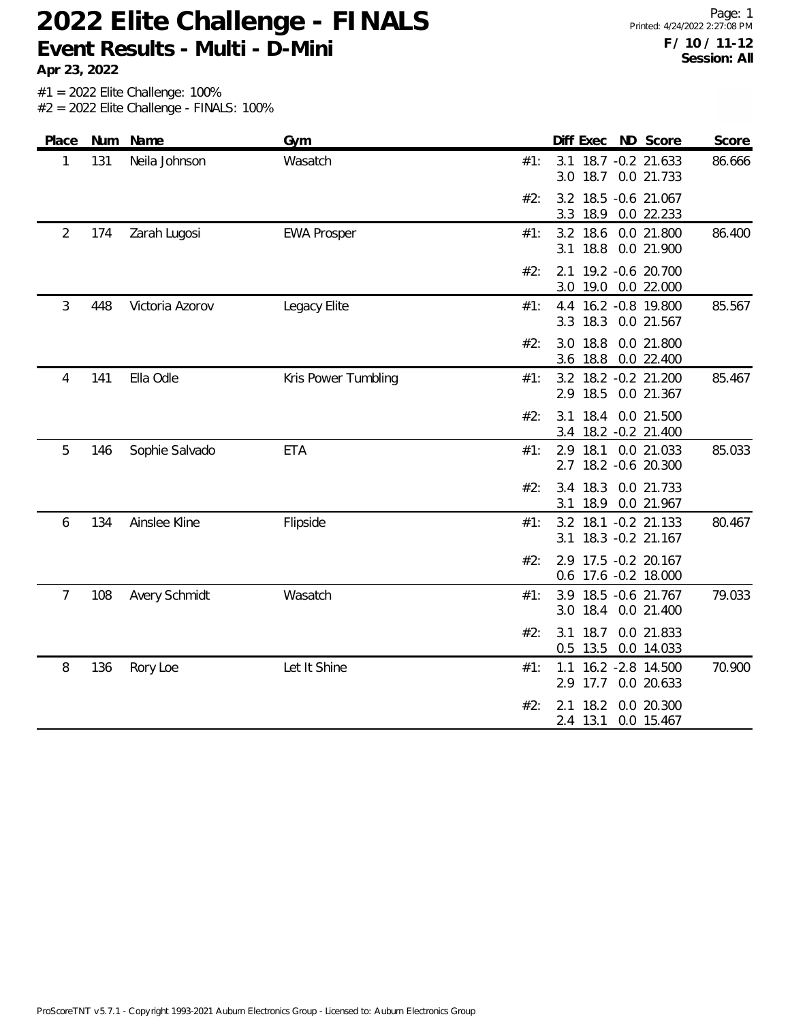**Apr 23, 2022**

| Place          |     | Num Name        | Gym                 | Diff Exec ND Score<br>Score                                             |
|----------------|-----|-----------------|---------------------|-------------------------------------------------------------------------|
| 1              | 131 | Neila Johnson   | Wasatch             | 3.1 18.7 -0.2 21.633<br>86.666<br>#1:<br>18.7 0.0 21.733<br>3.0         |
|                |     |                 |                     | 3.2 18.5 -0.6 21.067<br>#2:<br>3.3<br>18.9<br>0.0 22.233                |
| $\overline{2}$ | 174 | Zarah Lugosi    | <b>EWA Prosper</b>  | 18.6<br>0.0 21.800<br>86.400<br>#1:<br>3.2<br>18.8<br>0.0 21.900<br>3.1 |
|                |     |                 |                     | 2.1 19.2 -0.6 20.700<br>#2:<br>3.0<br>19.0<br>0.0 22.000                |
| 3              | 448 | Victoria Azorov | Legacy Elite        | 16.2 - 0.8 19.800<br>85.567<br>#1:<br>4.4<br>18.3<br>0.0 21.567<br>3.3  |
|                |     |                 |                     | 3.0 18.8<br>0.0 21.800<br>#2:<br>18.8<br>0.0 22.400<br>3.6              |
| 4              | 141 | Ella Odle       | Kris Power Tumbling | 3.2 18.2 -0.2 21.200<br>85.467<br>#1:<br>2.9 18.5<br>0.0 21.367         |
|                |     |                 |                     | $3.1$ 18.4<br>0.0 21.500<br>#2:<br>18.2 - 0.2 21.400<br>3.4             |
| 5              | 146 | Sophie Salvado  | <b>ETA</b>          | 18.1<br>0.0 21.033<br>85.033<br>2.9<br>#1:<br>18.2 - 0.6 20.300<br>2.7  |
|                |     |                 |                     | 18.3<br>#2:<br>0.0 21.733<br>3.4<br>18.9<br>3.1<br>0.0 21.967           |
| 6              | 134 | Ainslee Kline   | Flipside            | 18.1 - 0.2 21.133<br>#1:<br>3.2<br>80.467<br>18.3 - 0.2 21.167<br>3.1   |
|                |     |                 |                     | 2.9 17.5 -0.2 20.167<br>#2:<br>0.6 17.6 -0.2 18.000                     |
| $\overline{7}$ | 108 | Avery Schmidt   | Wasatch             | 18.5 -0.6 21.767<br>79.033<br>3.9<br>#1:<br>18.4<br>0.0 21.400<br>3.0   |
|                |     |                 |                     | 18.7<br>#2:<br>0.0 21.833<br>3.1<br>$0.5$ 13.5<br>0.0 14.033            |
| 8              | 136 | Rory Loe        | Let It Shine        | 16.2 - 2.8 14.500<br>70.900<br>#1:<br>1.1<br>2.9 17.7<br>0.0 20.633     |
|                |     |                 |                     | 0.0 20.300<br>$2.1$ 18.2<br>#2:<br>2.4 13.1<br>0.0 15.467               |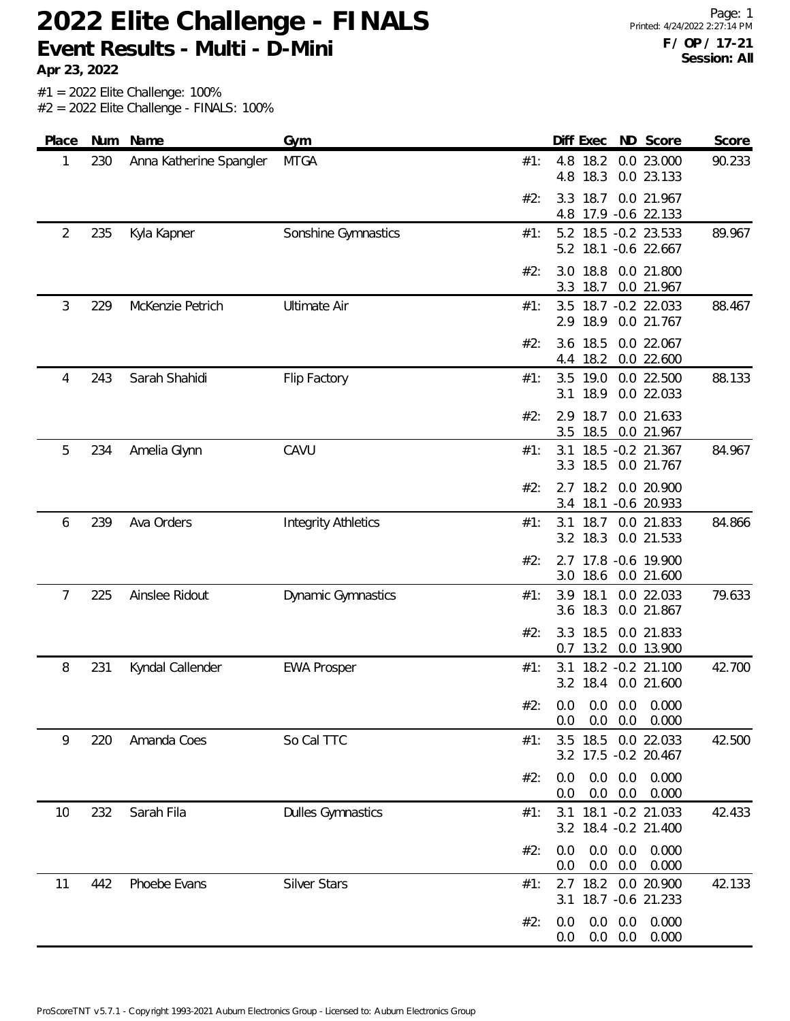**Apr 23, 2022**

#1 = 2022 Elite Challenge: 100%

 $#2 = 2022$  Elite Challenge - FINALS: 100%

| Place          | Num | Name                    | Gym                        |     | Diff Exec<br>ND Score<br>Score                                   |
|----------------|-----|-------------------------|----------------------------|-----|------------------------------------------------------------------|
| 1              | 230 | Anna Katherine Spangler | <b>MTGA</b>                | #1: | 90.233<br>4.8<br>18.2<br>0.0 23.000<br>18.3<br>4.8<br>0.0 23.133 |
|                |     |                         |                            | #2: | 18.7<br>0.0 21.967<br>3.3<br>17.9 - 0.6 22.133<br>4.8            |
| $\overline{2}$ | 235 | Kyla Kapner             | Sonshine Gymnastics        | #1: | 5.2 18.5 -0.2 23.533<br>89.967<br>5.2 18.1 -0.6 22.667           |
|                |     |                         |                            | #2: | 18.8<br>0.0 21.800<br>3.0<br>3.3<br>18.7<br>0.0 21.967           |
| 3              | 229 | McKenzie Petrich        | <b>Ultimate Air</b>        | #1: | 88.467<br>3.5<br>18.7 -0.2 22.033<br>18.9<br>2.9<br>0.0 21.767   |
|                |     |                         |                            | #2: | 18.5<br>0.0 22.067<br>3.6<br>18.2<br>0.0 22.600<br>4.4           |
| 4              | 243 | Sarah Shahidi           | Flip Factory               | #1: | 3.5 19.0<br>88.133<br>0.0 22.500<br>18.9<br>0.0 22.033<br>3.1    |
|                |     |                         |                            | #2: | 18.7<br>2.9<br>0.0 21.633<br>18.5<br>0.0 21.967<br>3.5           |
| 5              | 234 | Amelia Glynn            | CAVU                       | #1: | 18.5 -0.2 21.367<br>84.967<br>3.1<br>18.5<br>0.0 21.767<br>3.3   |
|                |     |                         |                            | #2: | 18.2<br>0.0 20.900<br>2.7<br>3.4 18.1 -0.6 20.933                |
| 6              | 239 | Ava Orders              | <b>Integrity Athletics</b> | #1: | 84.866<br>18.7<br>3.1<br>0.0 21.833<br>3.2 18.3<br>0.0 21.533    |
|                |     |                         |                            | #2: | 17.8 -0.6 19.900<br>2.7<br>3.0<br>18.6 0.0 21.600                |
| 7              | 225 | Ainslee Ridout          | <b>Dynamic Gymnastics</b>  | #1: | 79.633<br>18.1<br>0.0 22.033<br>3.9<br>18.3<br>0.0 21.867<br>3.6 |
|                |     |                         |                            | #2: | 18.5<br>3.3<br>0.0 21.833<br>13.2<br>0.0 13.900<br>0.7           |
| 8              | 231 | Kyndal Callender        | <b>EWA Prosper</b>         | #1: | 18.2 -0.2 21.100<br>42.700<br>3.1<br>3.2 18.4 0.0 21.600         |
|                |     |                         |                            | #2∙ | 0.0 0.0 0.0 0.000<br>0.0<br>$0.0$ $0.0$ $0.000$                  |
| 9              | 220 | Amanda Coes             | So Cal TTC                 | #1: | 3.5 18.5 0.0 22.033<br>42.500<br>3.2 17.5 -0.2 20.467            |
|                |     |                         |                            | #2: | $0.0$ $0.0$ $0.000$<br>0.0<br>$0.0\quad 0.0$<br>0.0<br>0.000     |
| 10             | 232 | Sarah Fila              | <b>Dulles Gymnastics</b>   | #1: | 3.1 18.1 -0.2 21.033<br>42.433<br>3.2 18.4 -0.2 21.400           |
|                |     |                         |                            | #2: | $0.0\quad 0.0$<br>0.000<br>0.0<br>$0.0\quad 0.0$<br>0.000<br>0.0 |
| 11             | 442 | Phoebe Evans            | <b>Silver Stars</b>        | #1: | 2.7 18.2 0.0 20.900<br>42.133<br>3.1 18.7 -0.6 21.233            |
|                |     |                         |                            | #2: | $0.0\quad 0.0$<br>0.000<br>0.0<br>$0.0\quad 0.0$<br>0.000<br>0.0 |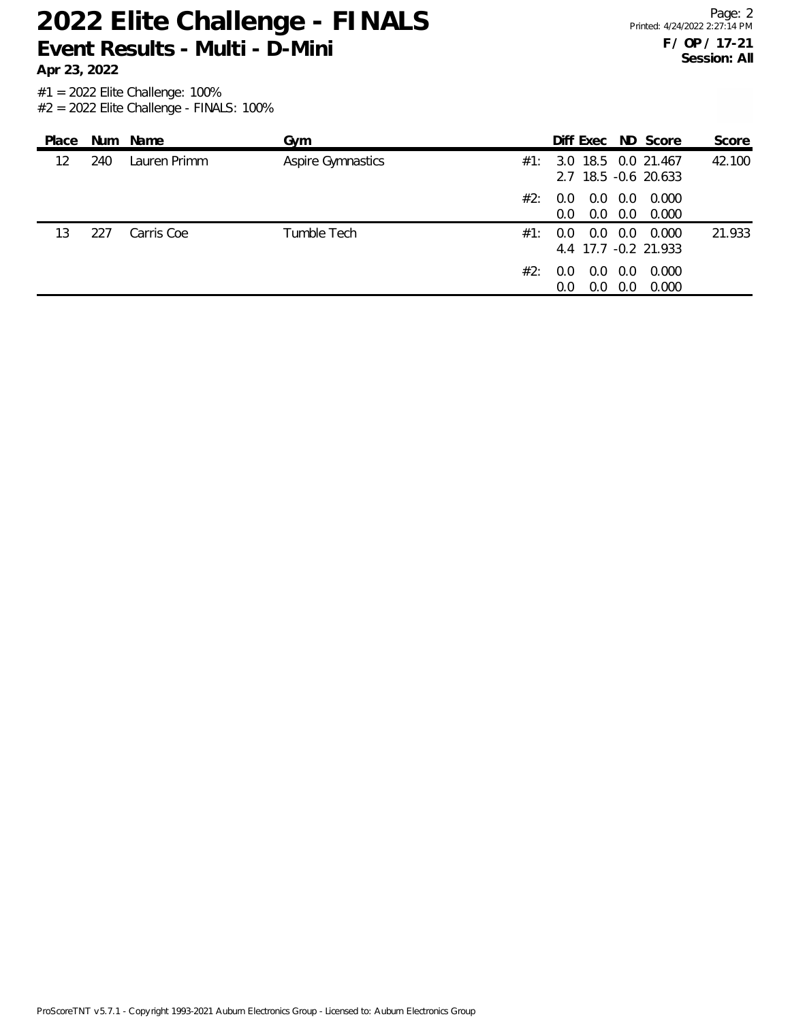**Apr 23, 2022**

Page: 2 Printed: 4/24/2022 2:27:14 PM **F / OP / 17-21 Session: All**

#1 = 2022 Elite Challenge: 100%  $#2 = 2022$  Elite Challenge - FINALS: 100%

| Place |     | Num Name     | Gym                      |     |                                                      |            | Diff Exec ND Score                                  | Score  |
|-------|-----|--------------|--------------------------|-----|------------------------------------------------------|------------|-----------------------------------------------------|--------|
| 12    | 240 | Lauren Primm | <b>Aspire Gymnastics</b> |     |                                                      |            | $\#1$ : 3.0 18.5 0.0 21.467<br>2.7 18.5 -0.6 20.633 | 42.100 |
|       |     |              | #2:                      |     | $0.0\quad 0.0\quad 0.0$<br>$0.0 \quad 0.0 \quad 0.0$ |            | 0.000<br>0.000                                      |        |
| 13    | 227 | Carris Coe   | Tumble Tech<br>#1:       | 0.0 | $0.0 \quad 0.0$                                      |            | 0.000<br>4.4 17.7 -0.2 21.933                       | 21.933 |
|       |     |              | #2:                      | 0.0 | $0.0 \quad 0.0$<br>0.0                               | 0.0<br>0.0 | 0.000<br>0.000                                      |        |

ProScoreTNT v5.7.1 - Copyright 1993-2021 Auburn Electronics Group - Licensed to: Auburn Electronics Group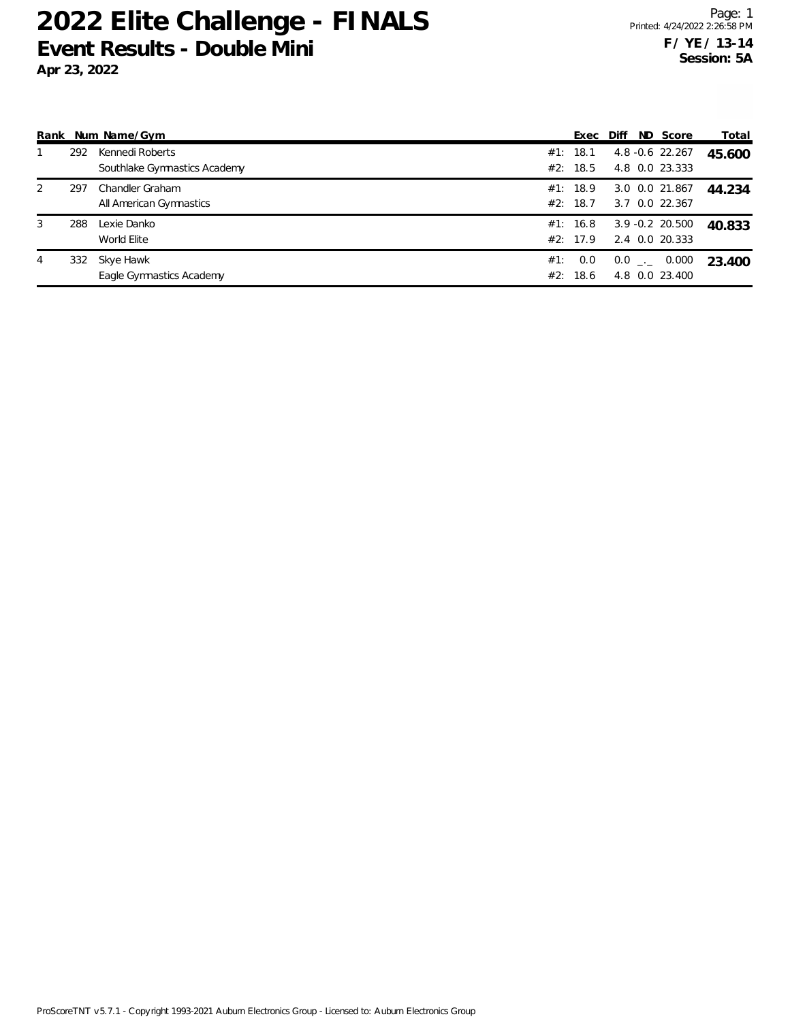|   |     | Rank Num Name/Gym            |     | Exec Diff |  | ND Score           | Total  |
|---|-----|------------------------------|-----|-----------|--|--------------------|--------|
|   | 292 | Kennedi Roberts              |     | #1: 18.1  |  | $4.8 - 0.6$ 22.267 | 45.600 |
|   |     | Southlake Gymnastics Academy |     | #2: 18.5  |  | 4.8 0.0 23.333     |        |
| 2 | 297 | Chandler Graham              |     | #1: 18.9  |  | 3.0 0.0 21.867     | 44.234 |
|   |     | All American Gymnastics      |     | #2: 18.7  |  | 3.7 0.0 22.367     |        |
| 3 | 288 | Lexie Danko                  |     | #1: 16.8  |  | $3.9 - 0.2$ 20.500 | 40.833 |
|   |     | World Elite                  |     | #2: 17.9  |  | 2.4 0.0 20.333     |        |
| 4 | 332 | Skye Hawk                    | #1: | 0.0       |  | $0.0$ _ $-$ 0.000  | 23.400 |
|   |     | Eagle Gymnastics Academy     |     | #2: 18.6  |  | 4.8 0.0 23.400     |        |

ProScoreTNT v5.7.1 - Copyright 1993-2021 Auburn Electronics Group - Licensed to: Auburn Electronics Group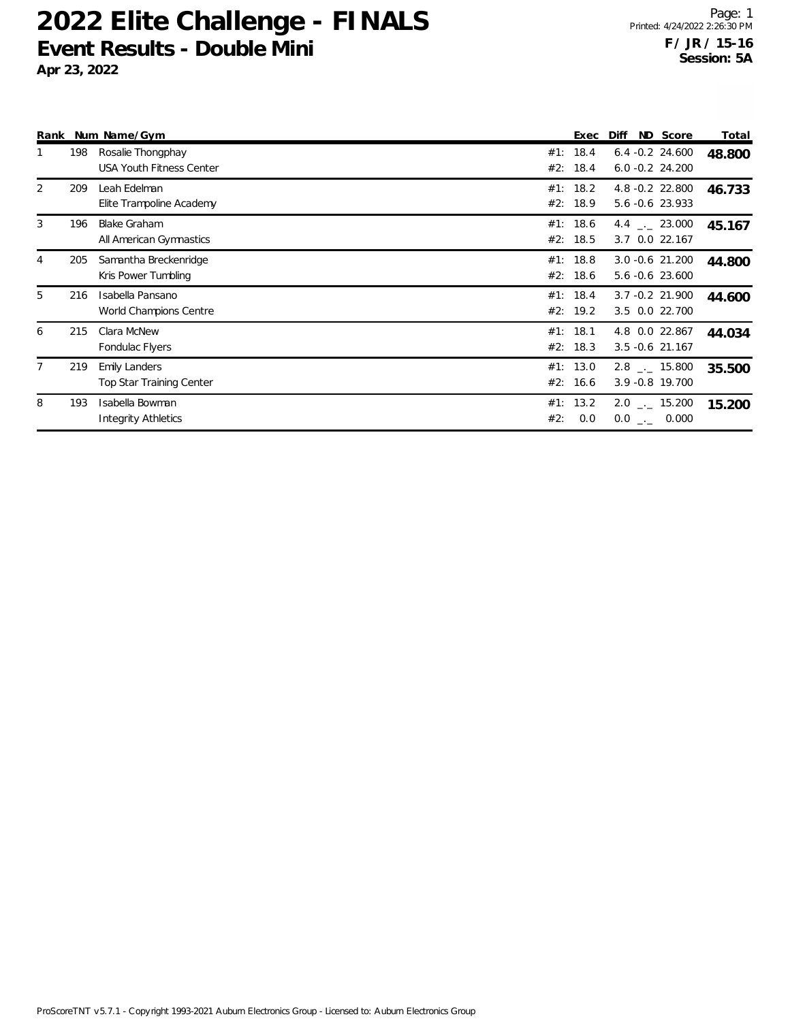|                |     | Rank Num Name/Gym                                       |     | Exec                 | Diff | ND Score                                    | Total  |
|----------------|-----|---------------------------------------------------------|-----|----------------------|------|---------------------------------------------|--------|
|                | 198 | Rosalie Thongphay<br><b>USA Youth Fitness Center</b>    |     | #1: 18.4<br>#2: 18.4 |      | $6.4 - 0.2$ 24.600<br>$6.0 -0.2$ 24.200     | 48.800 |
| 2              | 209 | Leah Edelman<br>Elite Trampoline Academy                |     | #1: 18.2<br>#2: 18.9 |      | 4.8 - 0.2 22.800<br>5.6 -0.6 23.933         | 46.733 |
| 3              | 196 | <b>Blake Graham</b><br>All American Gymnastics          |     | #1: 18.6<br>#2: 18.5 |      | 4.4 $\qquad$ 23.000<br>3.7 0.0 22.167       | 45.167 |
| 4              | 205 | Samantha Breckenridge<br>Kris Power Tumbling            |     | #1: 18.8<br>#2: 18.6 |      | 3.0 -0.6 21.200<br>5.6 -0.6 23.600          | 44.800 |
| 5              | 216 | Isabella Pansano<br>World Champions Centre              |     | #1: 18.4<br>#2: 19.2 |      | 3.7 -0.2 21.900<br>3.5 0.0 22.700           | 44.600 |
| 6              | 215 | Clara McNew<br>Fondulac Flyers                          |     | #1: 18.1<br>#2: 18.3 |      | 4.8 0.0 22.867<br>$3.5 - 0.6$ 21.167        | 44.034 |
| $\overline{7}$ | 219 | <b>Emily Landers</b><br><b>Top Star Training Center</b> |     | #1: 13.0<br>#2: 16.6 |      | $2.8$ _._ 15.800<br>3.9 -0.8 19.700         | 35.500 |
| 8              | 193 | Isabella Bowman<br><b>Integrity Athletics</b>           | #2: | #1: 13.2<br>0.0      |      | $2.0$ $_{\sim}$ 15.200<br>$0.0$ _ $-$ 0.000 | 15.200 |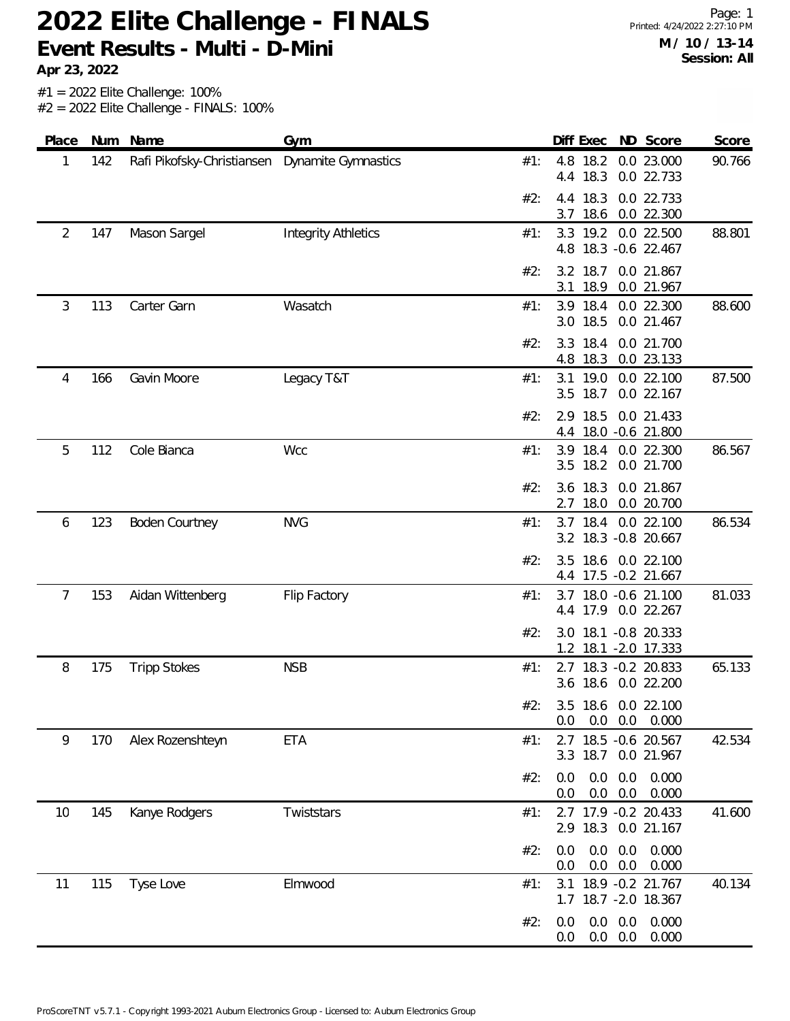**Apr 23, 2022**

#1 = 2022 Elite Challenge: 100%

 $#2 = 2022$  Elite Challenge - FINALS: 100%

| Place |     | Num Name                   | Gym                        |            | Diff Exec ND Score                                               | Score  |
|-------|-----|----------------------------|----------------------------|------------|------------------------------------------------------------------|--------|
| 1     | 142 | Rafi Pikofsky-Christiansen | Dynamite Gymnastics        | #1:        | 4.8<br>18.2<br>0.0 23.000<br>18.3<br>0.0 22.733<br>4.4           | 90.766 |
|       |     |                            |                            | #2:        | 4.4 18.3<br>0.0 22.733<br>18.6<br>0.0 22.300<br>3.7              |        |
| 2     | 147 | Mason Sargel               | <b>Integrity Athletics</b> | #1:        | 19.2<br>3.3<br>0.0 22.500<br>18.3 - 0.6 22.467<br>4.8            | 88.801 |
|       |     |                            |                            | #2:        | 3.2 18.7<br>0.0 21.867<br>18.9<br>3.1<br>0.0 21.967              |        |
| 3     | 113 | Carter Garn                | Wasatch                    | #1:        | 3.9 18.4 0.0 22.300<br>18.5<br>0.0 21.467<br>3.0                 | 88.600 |
|       |     |                            |                            | #2:        | 3.3 18.4<br>0.0 21.700<br>18.3<br>0.0 23.133<br>4.8              |        |
| 4     | 166 | Gavin Moore                | Legacy T&T                 | #1:        | 3.1 19.0<br>0.0 22.100<br>3.5 18.7<br>0.0 22.167                 | 87.500 |
|       |     |                            |                            | #2:        | 2.9 18.5<br>0.0 21.433<br>18.0 -0.6 21.800<br>4.4                |        |
| 5     | 112 | Cole Bianca                | Wcc                        | #1:        | 3.9<br>18.4<br>0.0 22.300<br>18.2<br>0.0 21.700<br>3.5           | 86.567 |
|       |     |                            |                            | #2:        | 18.3<br>0.0 21.867<br>3.6<br>18.0<br>0.0 20.700<br>2.7           |        |
| 6     | 123 | <b>Boden Courtney</b>      | <b>NVG</b>                 | #1:        | 3.7 18.4 0.0 22.100<br>3.2 18.3 -0.8 20.667                      | 86.534 |
|       |     |                            |                            | #2:        | 18.6 0.0 22.100<br>3.5<br>4.4 17.5 -0.2 21.667                   |        |
| 7     | 153 | Aidan Wittenberg           | Flip Factory               | #1:        | 3.7 18.0 -0.6 21.100<br>4.4 17.9 0.0 22.267                      | 81.033 |
|       |     |                            |                            | #2:        | 18.1 - 0.8 20.333<br>3.0<br>18.1 - 2.0 17.333<br>1.2             |        |
| 8     | 175 | <b>Tripp Stokes</b>        | <b>NSB</b>                 | #1:        | 18.3 - 0.2 20.833<br>2.7<br>3.6 18.6 0.0 22.200                  | 65.133 |
|       |     |                            |                            | $#2 \cdot$ | 3.5 18.6 0.0 22.100<br>$0.0$ $0.0$ $0.000$<br>0.0                |        |
| 9     | 170 | Alex Rozenshteyn           | <b>ETA</b>                 | #1:        | 2.7 18.5 -0.6 20.567<br>3.3 18.7 0.0 21.967                      | 42.534 |
|       |     |                            |                            | #2:        | 0.0<br>$0.0\quad 0.0$<br>0.000<br>$0.0\quad 0.0$<br>0.000<br>0.0 |        |
| 10    | 145 | Kanye Rodgers              | Twiststars                 | #1:        | 2.7 17.9 -0.2 20.433<br>2.9 18.3 0.0 21.167                      | 41.600 |
|       |     |                            |                            | #2:        | $0.0\quad 0.0$<br>0.000<br>0.0<br>$0.0\quad 0.0$<br>0.000<br>0.0 |        |
| 11    | 115 | Tyse Love                  | Elmwood                    | #1:        | 18.9 - 0.2 21.767<br>3.1<br>1.7 18.7 -2.0 18.367                 | 40.134 |
|       |     |                            |                            | #2:        | $0.0\quad 0.0$<br>0.000<br>0.0<br>$0.0\quad 0.0$<br>0.000<br>0.0 |        |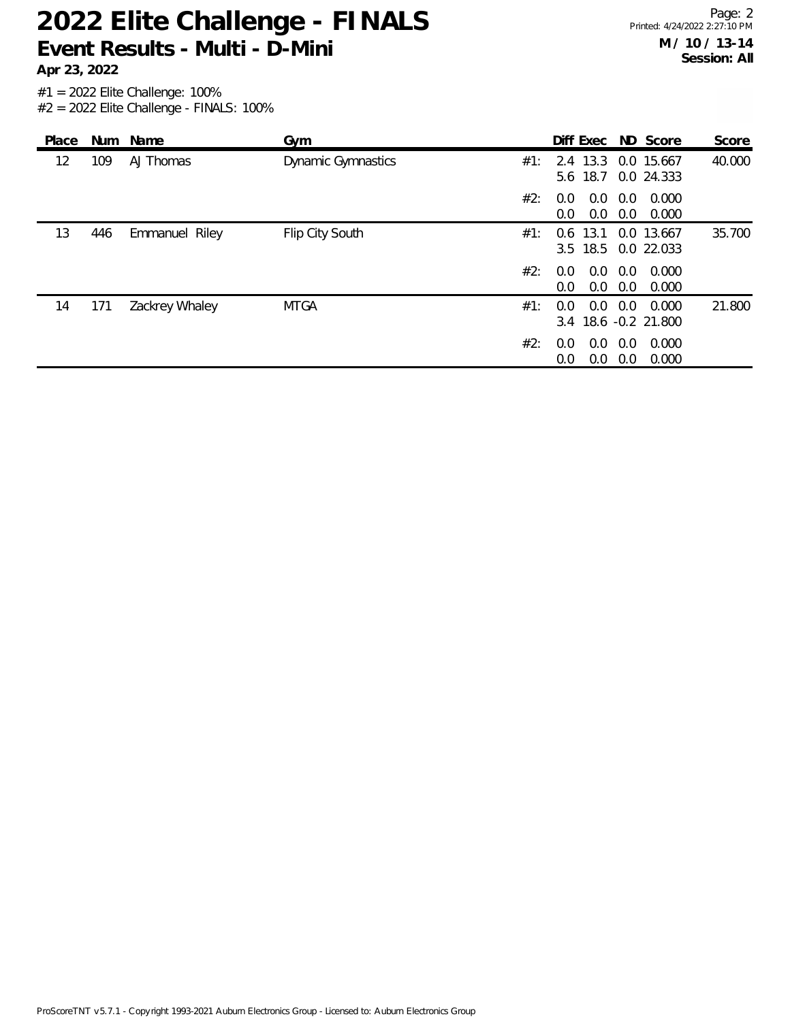**Apr 23, 2022**

| Place | Num | Name           | Gym                       |     | Diff Exec ND Score                 |            |                          | Score  |
|-------|-----|----------------|---------------------------|-----|------------------------------------|------------|--------------------------|--------|
| 12    | 109 | AJ Thomas      | <b>Dynamic Gymnastics</b> | #1: | 2.4 13.3<br>5.6 18.7               |            | 0.0 15.667<br>0.0 24.333 | 40.000 |
|       |     |                |                           | #2: | 0.0<br>0.0<br>0.0<br>0.0           | 0.0<br>0.0 | 0.000<br>0.000           |        |
| 13    | 446 | Emmanuel Riley | Flip City South           | #1: | 13.1<br>0.6<br>$3.5$ 18.5          |            | 0.0 13.667<br>0.0 22.033 | 35.700 |
|       |     |                |                           | #2: | 0.0<br>0.0<br>0.0<br>0.0           | 0.0<br>0.0 | 0.000<br>0.000           |        |
| 14    | 171 | Zackrey Whaley | <b>MTGA</b>               | #1: | 0.0<br>0.0<br>3.4 18.6 -0.2 21.800 | 0.0        | 0.000                    | 21.800 |
|       |     |                |                           | #2: | 0.0<br>$0.0^{\circ}$<br>0.0<br>0.0 | 0.0<br>0.0 | 0.000<br>0.000           |        |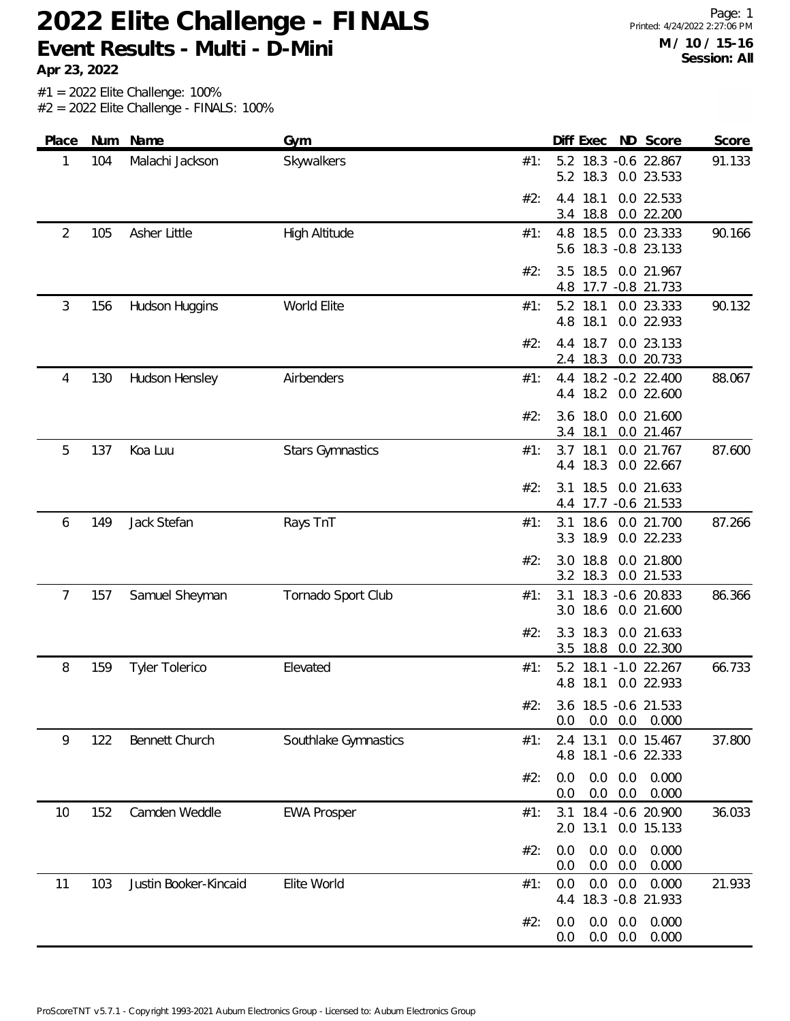**Apr 23, 2022**

Page: 1 Printed: 4/24/2022 2:27:06 PM **M / 10 / 15-16 Session: All**

| Place          | <b>Num</b> | Name                  | Gym                     |     | Diff Exec                           |                   | ND Score                           | Score  |
|----------------|------------|-----------------------|-------------------------|-----|-------------------------------------|-------------------|------------------------------------|--------|
| 1              | 104        | Malachi Jackson       | Skywalkers              | #1: | 5.2 18.3 -0.6 22.867<br>5.2 18.3    |                   | 0.0 23.533                         | 91.133 |
|                |            |                       |                         | #2: | 18.1<br>4.4<br>18.8<br>3.4          |                   | 0.0 22.533<br>0.0 22.200           |        |
| $\overline{2}$ | 105        | Asher Little          | High Altitude           | #1: | 4.8 18.5 0.0 23.333<br>5.6          |                   | 18.3 - 0.8 23.133                  | 90.166 |
|                |            |                       |                         | #2: | 18.5<br>3.5<br>4.8 17.7 -0.8 21.733 |                   | 0.0 21.967                         |        |
| 3              | 156        | Hudson Huggins        | World Elite             | #1: | 5.2 18.1<br>18.1<br>4.8             |                   | 0.0 23.333<br>0.0 22.933           | 90.132 |
|                |            |                       |                         | #2: | 18.7<br>4.4<br>18.3<br>2.4          |                   | 0.0 23.133<br>0.0 20.733           |        |
| 4              | 130        | Hudson Hensley        | Airbenders              | #1: | 4.4<br>18.2<br>4.4                  |                   | 18.2 - 0.2 22.400<br>0.0 22.600    | 88.067 |
|                |            |                       |                         | #2: | 18.0<br>3.6<br>18.1<br>3.4          |                   | 0.0 21.600<br>0.0 21.467           |        |
| 5              | 137        | Koa Luu               | <b>Stars Gymnastics</b> | #1: | 3.7<br>18.1<br>18.3<br>4.4          |                   | 0.0 21.767<br>0.0 22.667           | 87.600 |
|                |            |                       |                         | #2: | 18.5<br>3.1<br>4.4                  |                   | 0.0 21.633<br>17.7 -0.6 21.533     |        |
| 6              | 149        | Jack Stefan           | Rays TnT                | #1: | 3.1 18.6<br>18.9<br>3.3             |                   | 0.0 21.700<br>0.0 22.233           | 87.266 |
|                |            |                       |                         | #2: | 18.8<br>3.0<br>18.3<br>3.2          |                   | 0.0 21.800<br>0.0 21.533           |        |
| 7              | 157        | Samuel Sheyman        | Tornado Sport Club      | #1: | 3.1<br>18.6<br>3.0                  |                   | 18.3 - 0.6 20.833<br>0.0 21.600    | 86.366 |
|                |            |                       |                         | #2: | 18.3<br>3.3<br>3.5 18.8             |                   | 0.0 21.633<br>0.0 22.300           |        |
| 8              | 159        | <b>Tyler Tolerico</b> | Elevated                | #1: | 5.2<br>18.1<br>4.8                  |                   | 18.1 -1.0 22.267<br>0.0 22.933     | 66.733 |
|                |            |                       |                         | #2: | 0.0<br>0.0                          | 0.0               | 3.6 18.5 -0.6 21.533<br>0.000      |        |
| 9              | 122        | Bennett Church        | Southlake Gymnastics    | #1: | 13.1<br>2.4<br>4.8                  |                   | 0.0 15.467<br>18.1 - 0.6 22.333    | 37.800 |
|                |            |                       |                         | #2: | 0.0<br>0.0<br>0.0                   | 0.0<br>0.0<br>0.0 | 0.000<br>0.000                     |        |
| 10             | 152        | Camden Weddle         | <b>EWA Prosper</b>      | #1: | 2.0 13.1                            |                   | 3.1 18.4 -0.6 20.900<br>0.0 15.133 | 36.033 |
|                |            |                       |                         | #2: | 0.0<br>0.0<br>0.0<br>$0.0\,$        | 0.0<br>0.0        | 0.000<br>0.000                     |        |
| 11             | 103        | Justin Booker-Kincaid | Elite World             | #1: | 0.0<br>4.4                          | 0.0<br>0.0        | 0.000<br>18.3 - 0.8 21.933         | 21.933 |
|                |            |                       |                         | #2: | 0.0<br>0.0<br>0.0                   | 0.0<br>0.0<br>0.0 | 0.000<br>0.000                     |        |
|                |            |                       |                         |     |                                     |                   |                                    |        |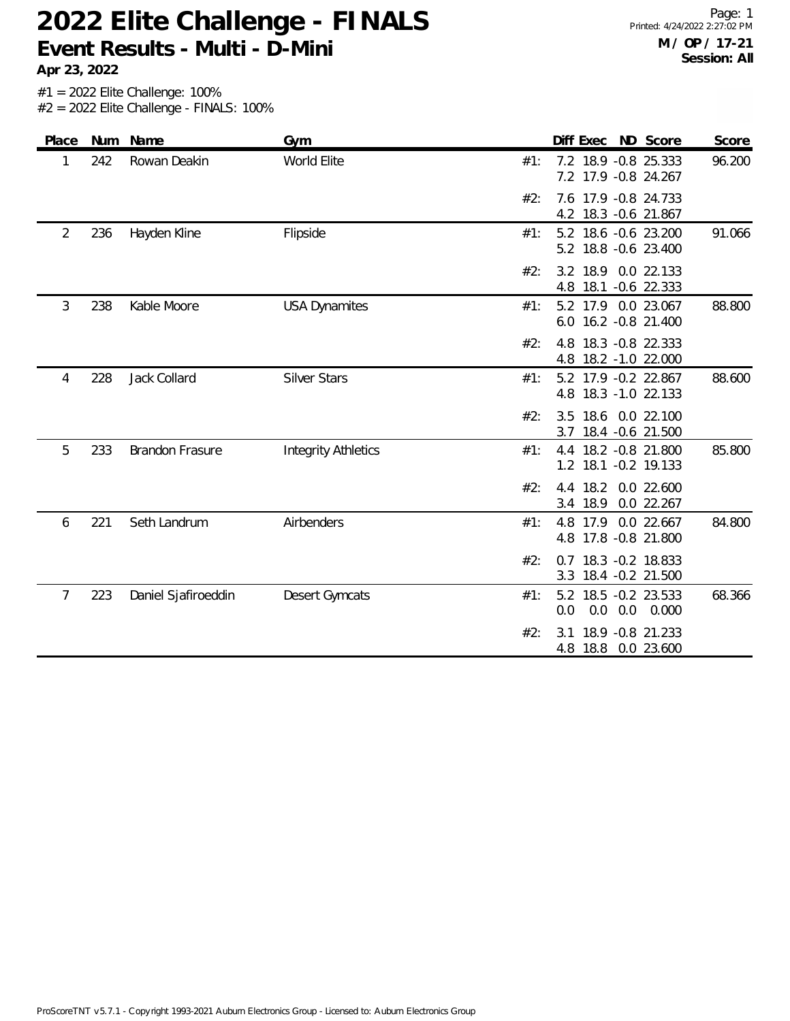**Apr 23, 2022**

| Place | Num | Name                   | Gym                        | Diff Exec ND Score<br>Score                                            |
|-------|-----|------------------------|----------------------------|------------------------------------------------------------------------|
| 1     | 242 | Rowan Deakin           | World Elite                | 7.2 18.9 -0.8 25.333<br>96.200<br>#1:<br>7.2 17.9 -0.8 24.267          |
|       |     |                        |                            | 7.6 17.9 -0.8 24.733<br>#2:<br>18.3 -0.6 21.867<br>4.2                 |
| 2     | 236 | Hayden Kline           | Flipside                   | 5.2 18.6 -0.6 23.200<br>91.066<br>#1:<br>5.2 18.8 -0.6 23.400          |
|       |     |                        |                            | 18.9<br>0.0 22.133<br>#2:<br>3.2<br>18.1<br>$-0.6$ 22.333<br>4.8       |
| 3     | 238 | Kable Moore            | <b>USA Dynamites</b>       | 17.9 0.0 23.067<br>88.800<br>#1:<br>5.2<br>16.2 - 0.8 21.400<br>6.0    |
|       |     |                        |                            | 18.3 - 0.8 22.333<br>#2:<br>4.8<br>18.2 -1.0 22.000<br>4.8             |
| 4     | 228 | Jack Collard           | <b>Silver Stars</b>        | 5.2 17.9 -0.2 22.867<br>88.600<br>#1:<br>18.3 - 1.0 22.133<br>4.8      |
|       |     |                        |                            | 18.6 0.0 22.100<br>3.5<br>#2:<br>18.4 - 0.6 21.500<br>3.7              |
| 5     | 233 | <b>Brandon Frasure</b> | <b>Integrity Athletics</b> | 85.800<br>#1:<br>18.2 - 0.8 21.800<br>4.4<br>18.1 - 0.2 19.133<br>1.2  |
|       |     |                        |                            | #2:<br>18.2<br>0.0 22.600<br>4.4<br>3.4 18.9<br>0.0 22.267             |
| 6     | 221 | Seth Landrum           | Airbenders                 | 84.800<br>17.9<br>0.0 22.667<br>#1:<br>4.8<br>4.8 17.8 -0.8 21.800     |
|       |     |                        |                            | #2:<br>18.3 - 0.2 18.833<br>0.7<br>18.4 - 0.2 21.500<br>3.3            |
| 7     | 223 | Daniel Sjafiroeddin    | <b>Desert Gymcats</b>      | 18.5 -0.2 23.533<br>68.366<br>#1:<br>5.2<br>0.0<br>0.0<br>0.0<br>0.000 |
|       |     |                        |                            | #2:<br>18.9 - 0.8 21.233<br>3.1<br>18.8  0.0  23.600<br>4.8            |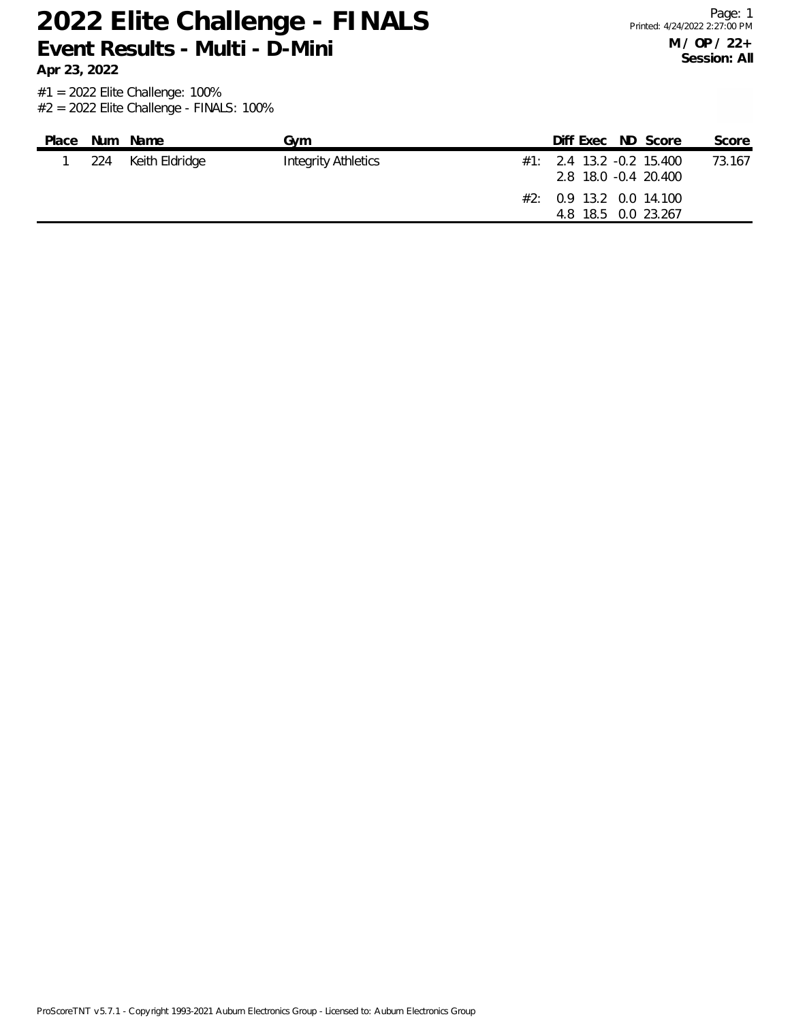**Apr 23, 2022**

| Place | Num Name           | Gvm                        | Diff Exec ND Score                                   |  | Score  |
|-------|--------------------|----------------------------|------------------------------------------------------|--|--------|
|       | 224 Keith Eldridge | <b>Integrity Athletics</b> | $\#1$ : 2.4 13.2 -0.2 15.400<br>2.8 18.0 -0.4 20.400 |  | 73.167 |
|       |                    |                            | #2: 0.9 13.2 0.0 14.100<br>4.8 18.5 0.0 23.267       |  |        |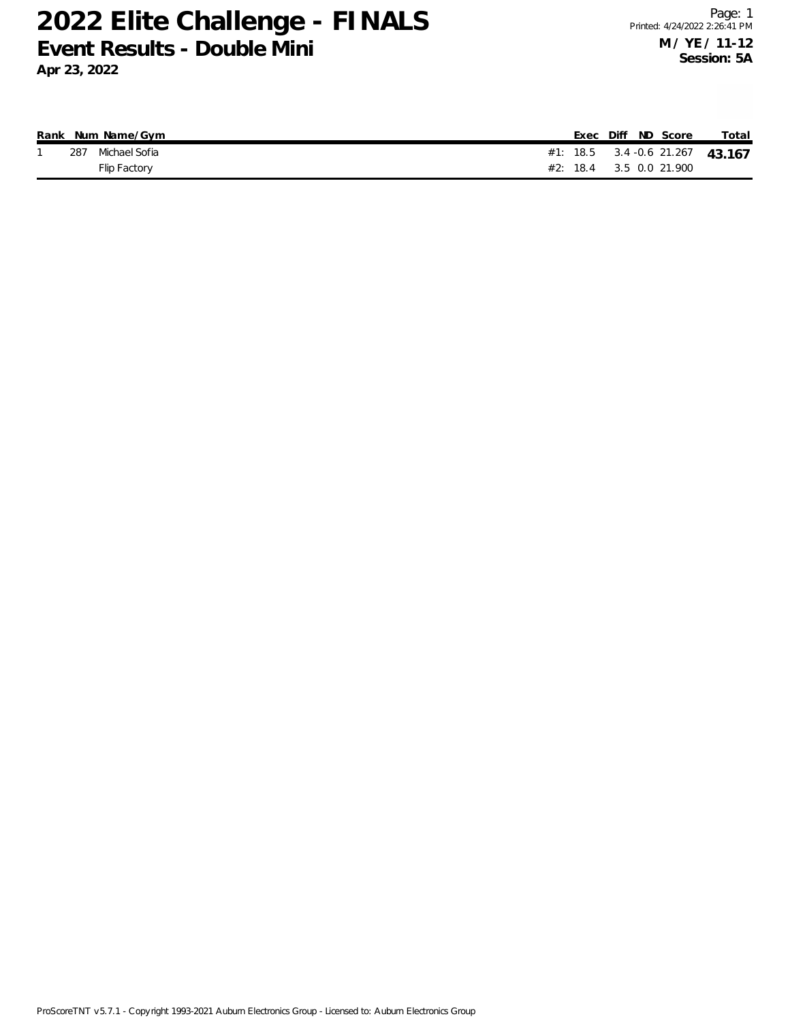**Apr 23, 2022**

|  | Rank Num Name/Gym |  |  | Exec Diff ND Score          | Total                           |
|--|-------------------|--|--|-----------------------------|---------------------------------|
|  | 287 Michael Sofia |  |  |                             | #1: 18.5 3.4 -0.6 21.267 43.167 |
|  | Flip Factory      |  |  | $\#2$ : 18.4 3.5 0.0 21.900 |                                 |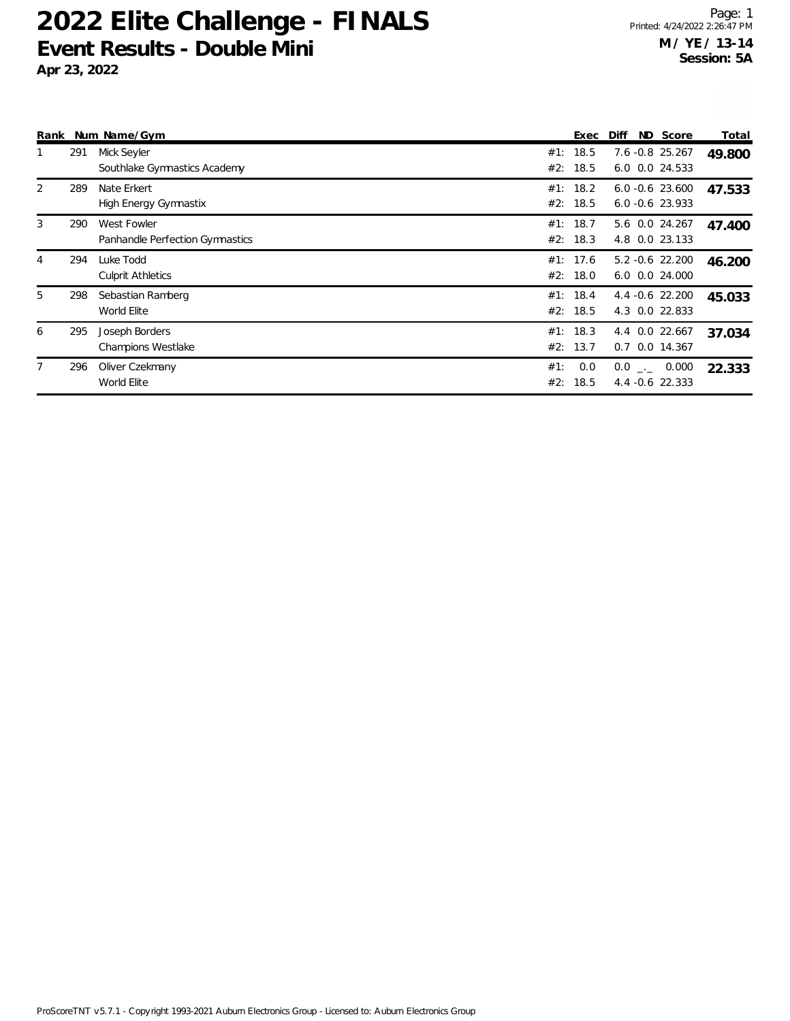**Apr 23, 2022**

| Rank |     | Num Name/Gym                                   |     | Exec                 | Diff | ND Score                                 | Total  |
|------|-----|------------------------------------------------|-----|----------------------|------|------------------------------------------|--------|
|      | 291 | Mick Seyler<br>Southlake Gymnastics Academy    |     | #1: 18.5<br>#2: 18.5 |      | 7.6 -0.8 25.267<br>6.0 0.0 24.533        | 49.800 |
| 2    | 289 | Nate Erkert<br><b>High Energy Gymnastix</b>    |     | #1: 18.2<br>#2: 18.5 |      | $6.0 - 0.6$ 23.600<br>$6.0 - 0.6$ 23.933 | 47.533 |
| 3    | 290 | West Fowler<br>Panhandle Perfection Gymnastics |     | #1: 18.7<br>#2: 18.3 |      | 5.6 0.0 24.267<br>4.8 0.0 23.133         | 47.400 |
| 4    | 294 | Luke Todd<br><b>Culprit Athletics</b>          |     | #1: 17.6<br>#2: 18.0 |      | $5.2 -0.6$ 22.200<br>6.0 0.0 24.000      | 46.200 |
| 5    | 298 | Sebastian Ramberg<br>World Elite               |     | #1: 18.4<br>#2: 18.5 |      | 4.4 -0.6 22.200<br>4.3 0.0 22.833        | 45.033 |
| 6    | 295 | Joseph Borders<br><b>Champions Westlake</b>    |     | #1: 18.3<br>#2: 13.7 |      | 4.4 0.0 22.667<br>0.7 0.0 14.367         | 37.034 |
| 7    | 296 | Oliver Czekmany<br>World Elite                 | #1: | 0.0<br>#2: 18.5      |      | $0.0$ _._ 0.000<br>$4.4 - 0.6$ 22.333    | 22.333 |